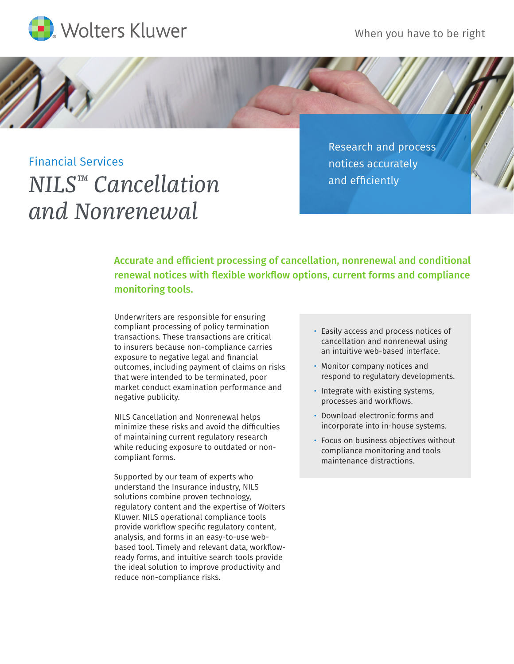



Financial Services *NILS™ Cancellation and Nonrenewal*

Research and process notices accurately and efficiently

Accurate and efficient processing of cancellation, nonrenewal and conditional renewal notices with flexible workflow options, current forms and compliance monitoring tools.

Underwriters are responsible for ensuring compliant processing of policy termination transactions. These transactions are critical to insurers because non-compliance carries exposure to negative legal and financial outcomes, including payment of claims on risks that were intended to be terminated, poor market conduct examination performance and negative publicity.

NILS Cancellation and Nonrenewal helps minimize these risks and avoid the difficulties of maintaining current regulatory research while reducing exposure to outdated or noncompliant forms.

Supported by our team of experts who understand the Insurance industry, NILS solutions combine proven technology, regulatory content and the expertise of Wolters Kluwer. NILS operational compliance tools provide workflow specific regulatory content, analysis, and forms in an easy-to-use webbased tool. Timely and relevant data, workflowready forms, and intuitive search tools provide the ideal solution to improve productivity and reduce non-compliance risks.

- Easily access and process notices of cancellation and nonrenewal using an intuitive web-based interface.
- Monitor company notices and respond to regulatory developments.
- Integrate with existing systems, processes and workflows.
- Download electronic forms and incorporate into in-house systems.
- Focus on business objectives without compliance monitoring and tools maintenance distractions.